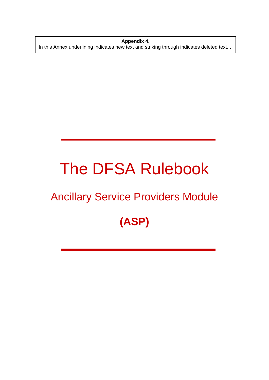**Appendix 4.**  In this Annex underlining indicates new text and striking through indicates deleted text. **.** 

# The DFSA Rulebook

### Ancillary Service Providers Module

## **(ASP)**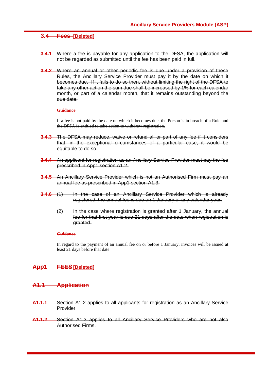#### **3.4 Fees [Deleted]**

- **3.4.1** Where a fee is payable for any application to the DFSA, the application will not be regarded as submitted until the fee has been paid in full.
- **3.4.2** Where an annual or other periodic fee is due under a provision of these Rules, the Ancillary Service Provider must pay it by the date on which it becomes due. If it fails to do so then, without limiting the right of the DFSA to take any other action the sum due shall be increased by 1% for each calendar month, or part of a calendar month, that it remains outstanding beyond the due date.

#### **Guidance**

If a fee is not paid by the date on which it becomes due, the Person is in breach of a Rule and the DFSA is entitled to take action to withdraw registration.

- **3.4.3** The DFSA may reduce, waive or refund all or part of any fee if it considers that, in the exceptional circumstances of a particular case, it would be equitable to do so.
- **3.4.4** An applicant for registration as an Ancillary Service Provider must pay the fee prescribed in App1 section A1.2.
- **3.4.5** An Ancillary Service Provider which is not an Authorised Firm must pay an annual fee as prescribed in App1 section A1.3.
- **3.4.6** (1) In the case of an Ancillary Service Provider which is already registered, the annual fee is due on 1 January of any calendar year.
	- (2) In the case where registration is granted after 1 January, the annual fee for that first year is due 21 days after the date when registration is granted.

#### **Guidance**

In regard to the payment of an annual fee on or before 1 January, invoices will be issued at least 21 days before that date.

#### **App1 FEES[Deleted]**

#### **A1.1 Application**

- **A1.1.1** Section A1.2 applies to all applicants for registration as an Ancillary Service Provider.
- **A1.1.2** Section A1.3 applies to all Ancillary Service Providers who are not also Authorised Firms.